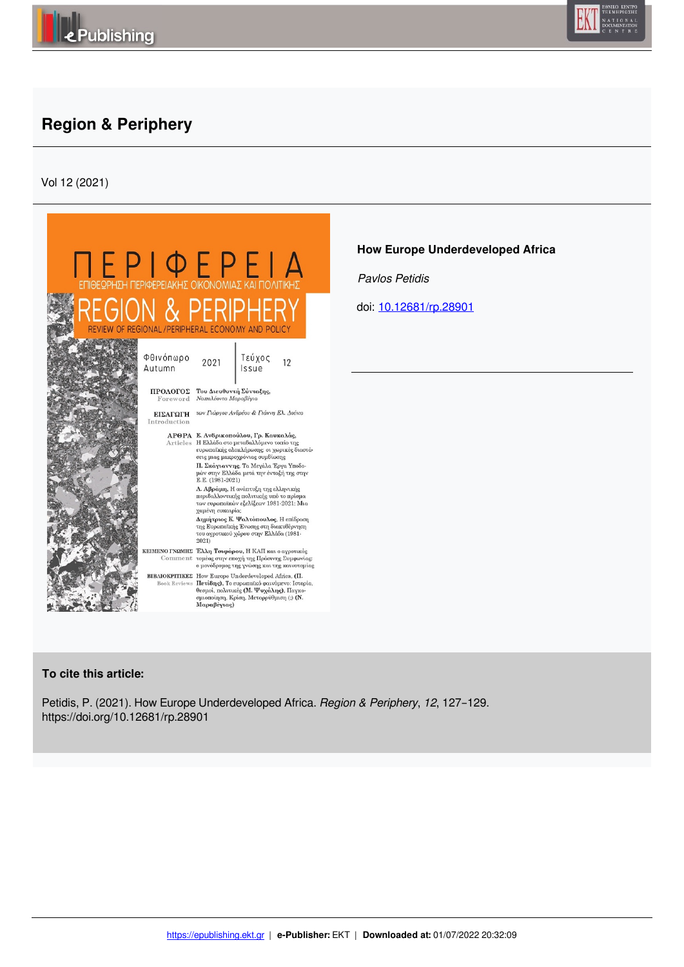



## **Region & Periphery**

Vol 12 (2021)



## **How Europe Underdeveloped Africa**

 *Pavlos Petidis* 

doi: 10.12681/rp.28901

## **To cite this article:**

Petidis, P. (2021). How Europe Underdeveloped Africa. *Region & Periphery*, *12*, 127–129. https://doi.org/10.12681/rp.28901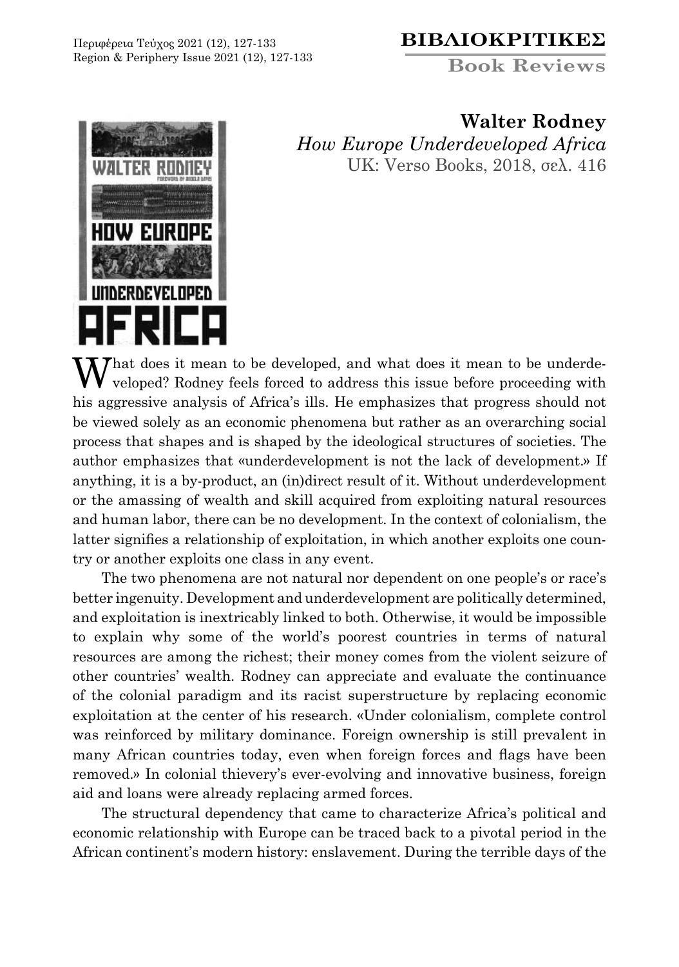Περιφέρεια Τεύχος 2021 (12), 127-133 Region & Periphery Issue 2021 (12), 127-133

## **ΒΙΒΛΙΟΚΡΙΤΙΚΕΣ**

**Book Reviews** 



**Walter Rodney** *How Europe Underdeveloped Africa* UK: Verso Books, 2018, σελ. 416

 $\mathbf{W}$  hat does it mean to be developed, and what does it mean to be underdeveloped? Rodney feels forced to address this issue before proceeding with his aggressive analysis of Africa's ills. He emphasizes that progress should not be viewed solely as an economic phenomena but rather as an overarching social process that shapes and is shaped by the ideological structures of societies. The author emphasizes that «underdevelopment is not the lack of development.» If anything, it is a by-product, an (in)direct result of it. Without underdevelopment or the amassing of wealth and skill acquired from exploiting natural resources and human labor, there can be no development. In the context of colonialism, the latter signifies a relationship of exploitation, in which another exploits one country or another exploits one class in any event.

The two phenomena are not natural nor dependent on one people's or race's better ingenuity. Development and underdevelopment are politically determined, and exploitation is inextricably linked to both. Otherwise, it would be impossible to explain why some of the world's poorest countries in terms of natural resources are among the richest; their money comes from the violent seizure of other countries' wealth. Rodney can appreciate and evaluate the continuance of the colonial paradigm and its racist superstructure by replacing economic exploitation at the center of his research. «Under colonialism, complete control was reinforced by military dominance. Foreign ownership is still prevalent in many African countries today, even when foreign forces and flags have been removed.» In colonial thievery's ever-evolving and innovative business, foreign aid and loans were already replacing armed forces.

The structural dependency that came to characterize Africa's political and economic relationship with Europe can be traced back to a pivotal period in the African continent's modern history: enslavement. During the terrible days of the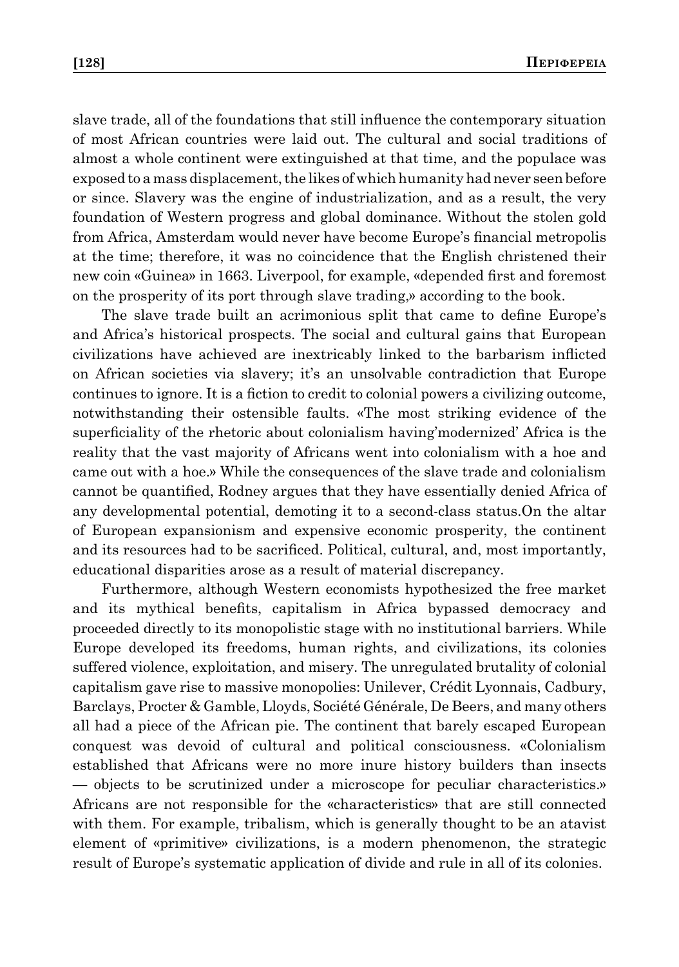slave trade, all of the foundations that still influence the contemporary situation of most African countries were laid out. The cultural and social traditions of almost a whole continent were extinguished at that time, and the populace was exposed to a mass displacement, the likes of which humanity had never seen before or since. Slavery was the engine of industrialization, and as a result, the very foundation of Western progress and global dominance. Without the stolen gold from Africa, Amsterdam would never have become Europe's financial metropolis at the time; therefore, it was no coincidence that the English christened their new coin «Guinea» in 1663. Liverpool, for example, «depended first and foremost on the prosperity of its port through slave trading,» according to the book.

The slave trade built an acrimonious split that came to define Europe's and Africa's historical prospects. The social and cultural gains that European civilizations have achieved are inextricably linked to the barbarism inflicted on African societies via slavery; it's an unsolvable contradiction that Europe continues to ignore. It is a fiction to credit to colonial powers a civilizing outcome, notwithstanding their ostensible faults. «The most striking evidence of the superficiality of the rhetoric about colonialism having' modernized' Africa is the reality that the vast majority of Africans went into colonialism with a hoe and came out with a hoe.» While the consequences of the slave trade and colonialism cannot be quantified, Rodney argues that they have essentially denied Africa of any developmental potential, demoting it to a second-class status.On the altar of European expansionism and expensive economic prosperity, the continent and its resources had to be sacrificed. Political, cultural, and, most importantly, educational disparities arose as a result of material discrepancy.

Furthermore, although Western economists hypothesized the free market and its mythical benefits, capitalism in Africa bypassed democracy and proceeded directly to its monopolistic stage with no institutional barriers. While Europe developed its freedoms, human rights, and civilizations, its colonies suffered violence, exploitation, and misery. The unregulated brutality of colonial capitalism gave rise to massive monopolies: Unilever, Crédit Lyonnais, Cadbury, Barclays, Procter & Gamble, Lloyds, Société Générale, De Beers, and many others all had a piece of the African pie. The continent that barely escaped European conquest was devoid of cultural and political consciousness. «Colonialism established that Africans were no more inure history builders than insects — objects to be scrutinized under a microscope for peculiar characteristics.» Africans are not responsible for the «characteristics» that are still connected with them. For example, tribalism, which is generally thought to be an atavist element of «primitive» civilizations, is a modern phenomenon, the strategic result of Europe's systematic application of divide and rule in all of its colonies.